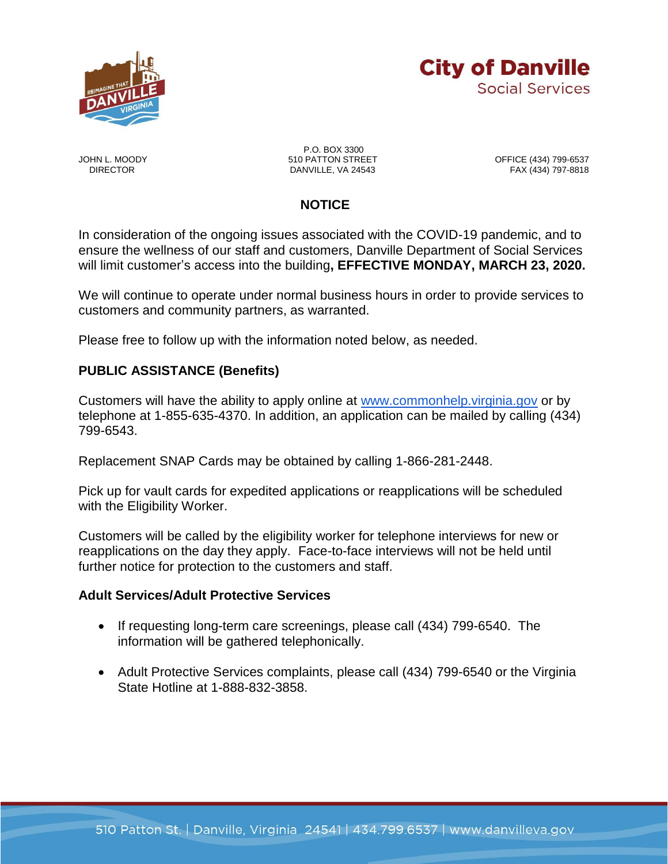



P.O. BOX 3300<br>510 PATTON STREET JOHN L. MOODY 510 PATTON STREET OFFICE (434) 799-6537 DANVILLE, VA 24543

# **NOTICE**

In consideration of the ongoing issues associated with the COVID-19 pandemic, and to ensure the wellness of our staff and customers, Danville Department of Social Services will limit customer's access into the building**, EFFECTIVE MONDAY, MARCH 23, 2020.** 

We will continue to operate under normal business hours in order to provide services to customers and community partners, as warranted.

Please free to follow up with the information noted below, as needed.

### **PUBLIC ASSISTANCE (Benefits)**

Customers will have the ability to apply online at [www.commonhelp.virginia.gov](http://www.commonhelp.virginia.gov/) or by telephone at 1-855-635-4370. In addition, an application can be mailed by calling (434) 799-6543.

Replacement SNAP Cards may be obtained by calling 1-866-281-2448.

Pick up for vault cards for expedited applications or reapplications will be scheduled with the Eligibility Worker.

Customers will be called by the eligibility worker for telephone interviews for new or reapplications on the day they apply. Face-to-face interviews will not be held until further notice for protection to the customers and staff.

#### **Adult Services/Adult Protective Services**

- If requesting long-term care screenings, please call (434) 799-6540. The information will be gathered telephonically.
- Adult Protective Services complaints, please call (434) 799-6540 or the Virginia State Hotline at 1-888-832-3858.